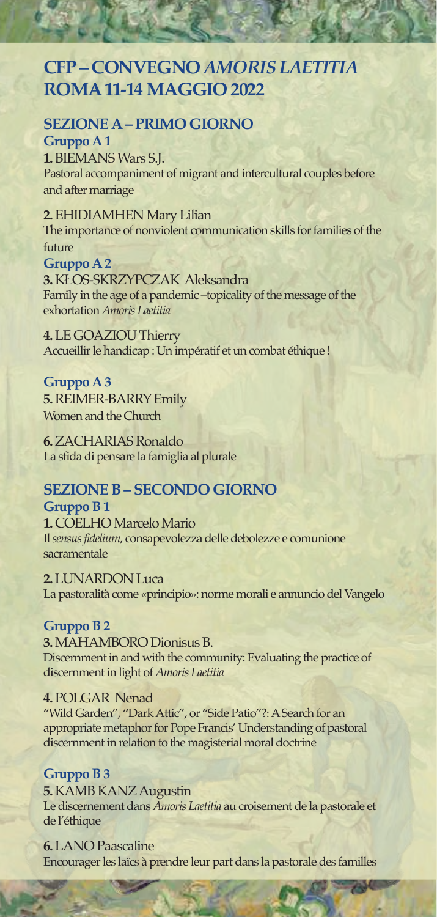# **CFP – CONVEGNO** *AMORIS LAETITIA*  **ROMA 11-14 MAGGIO 2022**

## **SEZIONE A – PRIMO GIORNO**

**Gruppo A 1 1.** BIEMANS Wars S.J. Pastoral accompaniment of migrant and intercultural couples before and after marriage

**2.** EHIDIAMHEN Mary Lilian The importance of nonviolent communication skills for families of the future

**Gruppo A 2 3.** KŁOS-SKRZYPCZAK Aleksandra Family in the age of a pandemic –topicality of the message of the exhortation *Amoris Laetitia* 

**4.** LE GOAZIOU Thierry Accueillir le handicap : Un impératif et un combat éthique !

**Gruppo A 3 5.** REIMER-BARRY Emily Women and the Church

**6.** ZACHARIAS Ronaldo La sfida di pensare la famiglia al plurale

# **SEZIONE B – SECONDO GIORNO**

**Gruppo B 1 1.** COELHO Marcelo Mario Il *sensus fidelium*, consapevolezza delle debolezze e comunione sacramentale

**2.** LUNARDON Luca La pastoralità come «principio»: norme morali e annuncio del Vangelo

### **Gruppo B 2**

**3.** MAHAMBORO Dionisus B. Discernment in and with the community: Evaluating the practice of discernment in light of *Amoris Laetitia*

**4.** POLGAR Nenad "Wild Garden", "Dark Attic", or "Side Patio"?: A Search for an appropriate metaphor for Pope Francis' Understanding of pastoral discernment in relation to the magisterial moral doctrine

### **Gruppo B 3**

**5.** KAMB KANZ Augustin Le discernement dans *Amoris Laetitia* au croisement de la pastorale et de l'éthique

**6.** LANO Paascaline Encourager les laïcs à prendre leur part dans la pastorale des familles